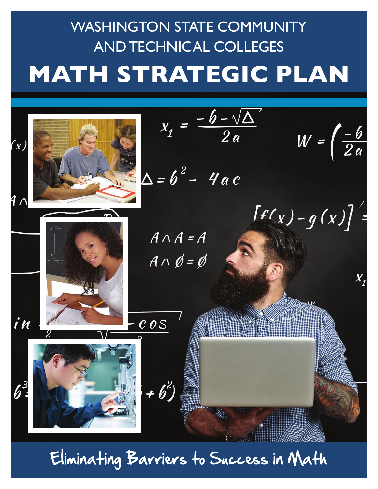# **MATH STRATEGIC PLAN** WASHINGTON STATE COMMUNITY AND TECHNICAL COLLEGES



Eliminating Barriers to Success in Math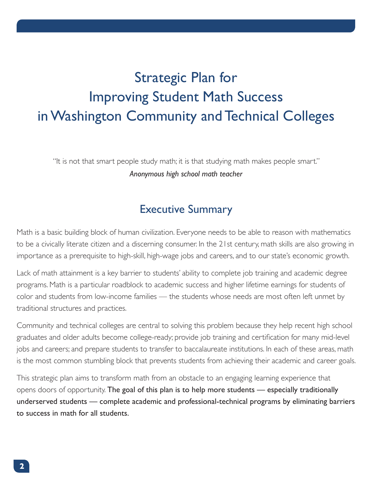## Strategic Plan for Improving Student Math Success in Washington Community and Technical Colleges

"It is not that smart people study math; it is that studying math makes people smart." *Anonymous high school math teacher*

### Executive Summary

Math is a basic building block of human civilization. Everyone needs to be able to reason with mathematics to be a civically literate citizen and a discerning consumer. In the 21st century, math skills are also growing in importance as a prerequisite to high-skill, high-wage jobs and careers, and to our state's economic growth.

Lack of math attainment is a key barrier to students' ability to complete job training and academic degree programs. Math is a particular roadblock to academic success and higher lifetime earnings for students of color and students from low-income families — the students whose needs are most often left unmet by traditional structures and practices.

Community and technical colleges are central to solving this problem because they help recent high school graduates and older adults become college-ready; provide job training and certification for many mid-level jobs and careers; and prepare students to transfer to baccalaureate institutions. In each of these areas, math is the most common stumbling block that prevents students from achieving their academic and career goals.

This strategic plan aims to transform math from an obstacle to an engaging learning experience that opens doors of opportunity. The goal of this plan is to help more students — especially traditionally underserved students — complete academic and professional-technical programs by eliminating barriers to success in math for all students.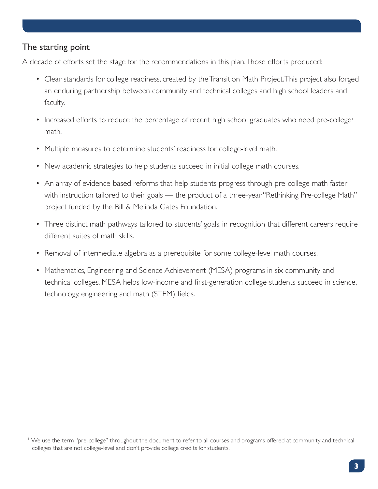#### The starting point

A decade of efforts set the stage for the recommendations in this plan. Those efforts produced:

- Clear standards for college readiness, created by the Transition Math Project. This project also forged an enduring partnership between community and technical colleges and high school leaders and faculty.
- Increased efforts to reduce the percentage of recent high school graduates who need pre-college<sup>1</sup> math.
- Multiple measures to determine students' readiness for college-level math.
- New academic strategies to help students succeed in initial college math courses.
- An array of evidence-based reforms that help students progress through pre-college math faster with instruction tailored to their goals — the product of a three-year "Rethinking Pre-college Math" project funded by the Bill & Melinda Gates Foundation.
- Three distinct math pathways tailored to students' goals, in recognition that different careers require different suites of math skills.
- Removal of intermediate algebra as a prerequisite for some college-level math courses.
- Mathematics, Engineering and Science Achievement (MESA) programs in six community and technical colleges. MESA helps low-income and first-generation college students succeed in science, technology, engineering and math (STEM) fields.

<sup>1</sup> We use the term "pre-college" throughout the document to refer to all courses and programs offered at community and technical colleges that are not college-level and don't provide college credits for students.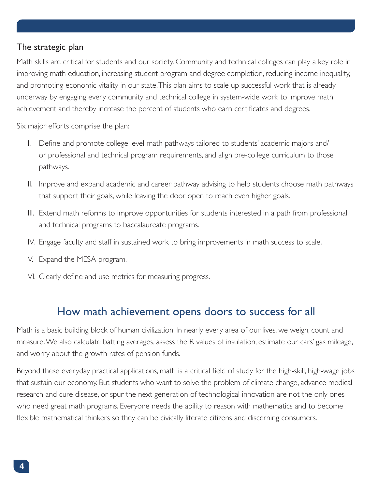#### The strategic plan

Math skills are critical for students and our society. Community and technical colleges can play a key role in improving math education, increasing student program and degree completion, reducing income inequality, and promoting economic vitality in our state. This plan aims to scale up successful work that is already underway by engaging every community and technical college in system-wide work to improve math achievement and thereby increase the percent of students who earn certificates and degrees.

Six major efforts comprise the plan:

- I. Define and promote college level math pathways tailored to students' academic majors and/ or professional and technical program requirements, and align pre-college curriculum to those pathways.
- II. Improve and expand academic and career pathway advising to help students choose math pathways that support their goals, while leaving the door open to reach even higher goals.
- III. Extend math reforms to improve opportunities for students interested in a path from professional and technical programs to baccalaureate programs.
- IV. Engage faculty and staff in sustained work to bring improvements in math success to scale.
- V. Expand the MESA program.
- VI. Clearly define and use metrics for measuring progress.

## How math achievement opens doors to success for all

Math is a basic building block of human civilization. In nearly every area of our lives, we weigh, count and measure. We also calculate batting averages, assess the R values of insulation, estimate our cars' gas mileage, and worry about the growth rates of pension funds.

Beyond these everyday practical applications, math is a critical field of study for the high-skill, high-wage jobs that sustain our economy. But students who want to solve the problem of climate change, advance medical research and cure disease, or spur the next generation of technological innovation are not the only ones who need great math programs. Everyone needs the ability to reason with mathematics and to become flexible mathematical thinkers so they can be civically literate citizens and discerning consumers.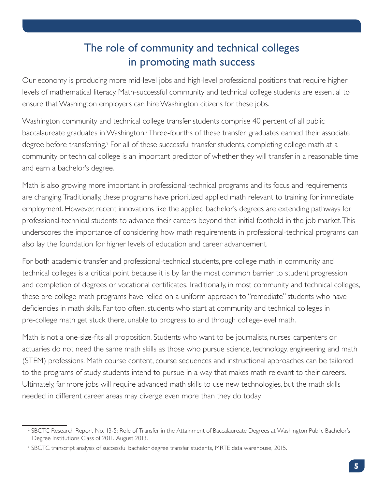## The role of community and technical colleges in promoting math success

Our economy is producing more mid-level jobs and high-level professional positions that require higher levels of mathematical literacy. Math-successful community and technical college students are essential to ensure that Washington employers can hire Washington citizens for these jobs.

Washington community and technical college transfer students comprise 40 percent of all public baccalaureate graduates in Washington.<sup>2</sup> Three-fourths of these transfer graduates earned their associate degree before transferring.<sup>3</sup> For all of these successful transfer students, completing college math at a community or technical college is an important predictor of whether they will transfer in a reasonable time and earn a bachelor's degree.

Math is also growing more important in professional-technical programs and its focus and requirements are changing. Traditionally, these programs have prioritized applied math relevant to training for immediate employment. However, recent innovations like the applied bachelor's degrees are extending pathways for professional-technical students to advance their careers beyond that initial foothold in the job market. This underscores the importance of considering how math requirements in professional-technical programs can also lay the foundation for higher levels of education and career advancement.

For both academic-transfer and professional-technical students, pre-college math in community and technical colleges is a critical point because it is by far the most common barrier to student progression and completion of degrees or vocational certificates. Traditionally, in most community and technical colleges, these pre-college math programs have relied on a uniform approach to "remediate" students who have deficiencies in math skills. Far too often, students who start at community and technical colleges in pre-college math get stuck there, unable to progress to and through college-level math.

Math is not a one-size-fits-all proposition. Students who want to be journalists, nurses, carpenters or actuaries do not need the same math skills as those who pursue science, technology, engineering and math (STEM) professions. Math course content, course sequences and instructional approaches can be tailored to the programs of study students intend to pursue in a way that makes math relevant to their careers. Ultimately, far more jobs will require advanced math skills to use new technologies, but the math skills needed in different career areas may diverge even more than they do today.

<sup>2</sup> SBCTC Research Report No. 13-5: Role of Transfer in the Attainment of Baccalaureate Degrees at Washington Public Bachelor's Degree Institutions Class of 2011. August 2013.

<sup>3</sup> SBCTC transcript analysis of successful bachelor degree transfer students, MRTE data warehouse, 2015.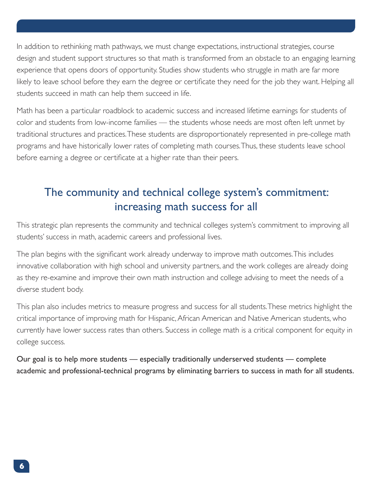In addition to rethinking math pathways, we must change expectations, instructional strategies, course design and student support structures so that math is transformed from an obstacle to an engaging learning experience that opens doors of opportunity. Studies show students who struggle in math are far more likely to leave school before they earn the degree or certificate they need for the job they want. Helping all students succeed in math can help them succeed in life.

Math has been a particular roadblock to academic success and increased lifetime earnings for students of color and students from low-income families — the students whose needs are most often left unmet by traditional structures and practices. These students are disproportionately represented in pre-college math programs and have historically lower rates of completing math courses. Thus, these students leave school before earning a degree or certificate at a higher rate than their peers.

## The community and technical college system's commitment: increasing math success for all

This strategic plan represents the community and technical colleges system's commitment to improving all students' success in math, academic careers and professional lives.

The plan begins with the significant work already underway to improve math outcomes. This includes innovative collaboration with high school and university partners, and the work colleges are already doing as they re-examine and improve their own math instruction and college advising to meet the needs of a diverse student body.

This plan also includes metrics to measure progress and success for all students. These metrics highlight the critical importance of improving math for Hispanic, African American and Native American students, who currently have lower success rates than others. Success in college math is a critical component for equity in college success.

Our goal is to help more students — especially traditionally underserved students — complete academic and professional-technical programs by eliminating barriers to success in math for all students.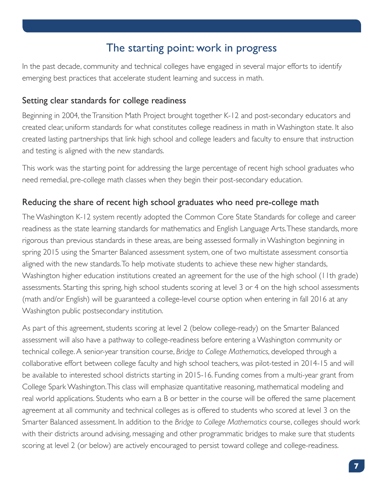## The starting point: work in progress

In the past decade, community and technical colleges have engaged in several major efforts to identify emerging best practices that accelerate student learning and success in math.

#### Setting clear standards for college readiness

Beginning in 2004, the Transition Math Project brought together K-12 and post-secondary educators and created clear, uniform standards for what constitutes college readiness in math in Washington state. It also created lasting partnerships that link high school and college leaders and faculty to ensure that instruction and testing is aligned with the new standards.

This work was the starting point for addressing the large percentage of recent high school graduates who need remedial, pre-college math classes when they begin their post-secondary education.

#### Reducing the share of recent high school graduates who need pre-college math

The Washington K-12 system recently adopted the Common Core State Standards for college and career readiness as the state learning standards for mathematics and English Language Arts. These standards, more rigorous than previous standards in these areas, are being assessed formally in Washington beginning in spring 2015 using the Smarter Balanced assessment system, one of two multistate assessment consortia aligned with the new standards. To help motivate students to achieve these new higher standards, Washington higher education institutions created an agreement for the use of the high school (11th grade) assessments. Starting this spring, high school students scoring at level 3 or 4 on the high school assessments (math and/or English) will be guaranteed a college-level course option when entering in fall 2016 at any Washington public postsecondary institution.

As part of this agreement, students scoring at level 2 (below college-ready) on the Smarter Balanced assessment will also have a pathway to college-readiness before entering a Washington community or technical college. A senior-year transition course, *Bridge to College Mathematics*, developed through a collaborative effort between college faculty and high school teachers, was pilot-tested in 2014-15 and will be available to interested school districts starting in 2015-16. Funding comes from a multi-year grant from College Spark Washington. This class will emphasize quantitative reasoning, mathematical modeling and real world applications. Students who earn a B or better in the course will be offered the same placement agreement at all community and technical colleges as is offered to students who scored at level 3 on the Smarter Balanced assessment. In addition to the *Bridge to College Mathematics* course, colleges should work with their districts around advising, messaging and other programmatic bridges to make sure that students scoring at level 2 (or below) are actively encouraged to persist toward college and college-readiness.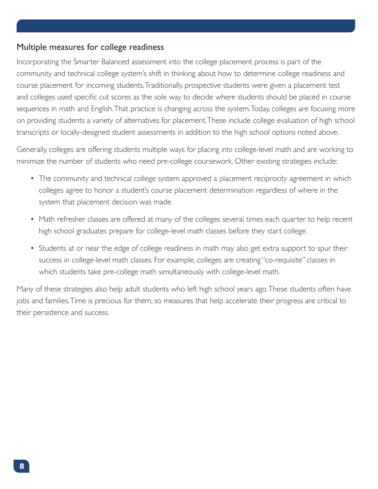#### Multiple measures for college readiness

Incorporating the Smarter Balanced assessment into the college placement process is part of the community and technical college system's shift in thinking about how to determine college readiness and course placement for incoming students. Traditionally, prospective students were given a placement test and colleges used specific cut scores as the sole way to decide where students should be placed in course sequences in math and English. That practice is changing across the system. Today, colleges are focusing more on providing students a variety of alternatives for placement. These include college evaluation of high school transcripts or locally-designed student assessments in addition to the high school options noted above.

Generally, colleges are offering students multiple ways for placing *into* college-level math and are working to minimize the number of students who need pre-college coursework. Other existing strategies include:

- The community and technical college system approved a placement reciprocity agreement in which colleges agree to honor a student's course placement determination regardless of where in the system that placement decision was made.
- Math refresher classes are offered at many of the colleges several times each quarter to help recent high school graduates prepare for college-level math classes before they start college.
- Students at or near the edge of college readiness in math may also get extra support to spur their success in college-level math classes. For example, colleges are creating "co-requisite" classes in which students take pre-college math simultaneously with college-level math.

Many of these strategies also help adult students who left high school years ago. These students often have jobs and families. Time is precious for them, so measures that help accelerate their progress are critical to their persistence and success.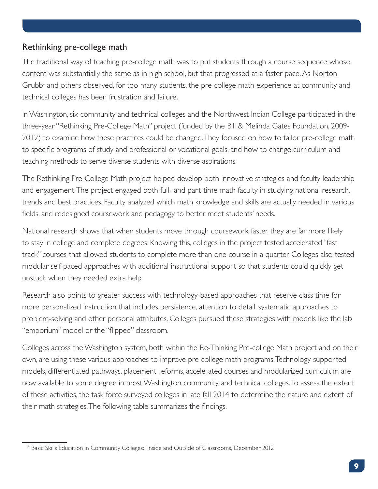#### Rethinking pre-college math

The traditional way of teaching pre-college math was to put students through a course sequence whose content was substantially the same as in high school, but that progressed at a faster pace. As Norton Grubb<sup>4</sup> and others observed, for too many students, the pre-college math experience at community and technical colleges has been frustration and failure.

In Washington, six community and technical colleges and the Northwest Indian College participated in the three-year "Rethinking Pre-College Math" project (funded by the Bill & Melinda Gates Foundation, 2009- 2012) to examine how these practices could be changed. They focused on how to tailor pre-college math to specific programs of study and professional or vocational goals, and how to change curriculum and teaching methods to serve diverse students with diverse aspirations.

The Rethinking Pre-College Math project helped develop both innovative strategies and faculty leadership and engagement. The project engaged both full- and part-time math faculty in studying national research, trends and best practices. Faculty analyzed which math knowledge and skills are actually needed in various fields, and redesigned coursework and pedagogy to better meet students' needs.

National research shows that when students move through coursework faster, they are far more likely to stay in college and complete degrees. Knowing this, colleges in the project tested accelerated "fast track" courses that allowed students to complete more than one course in a quarter. Colleges also tested modular self-paced approaches with additional instructional support so that students could quickly get unstuck when they needed extra help.

Research also points to greater success with technology-based approaches that reserve class time for more personalized instruction that includes persistence, attention to detail, systematic approaches to problem-solving and other personal attributes. Colleges pursued these strategies with models like the lab "emporium" model or the "flipped" classroom.

Colleges across the Washington system, both within the Re-Thinking Pre-college Math project and on their own, are using these various approaches to improve pre-college math programs. Technology-supported models, differentiated pathways, placement reforms, accelerated courses and modularized curriculum are now available to some degree in most Washington community and technical colleges. To assess the extent of these activities, the task force surveyed colleges in late fall 2014 to determine the nature and extent of their math strategies. The following table summarizes the findings.

<sup>4</sup> Basic Skills Education in Community Colleges: Inside and Outside of Classrooms, December 2012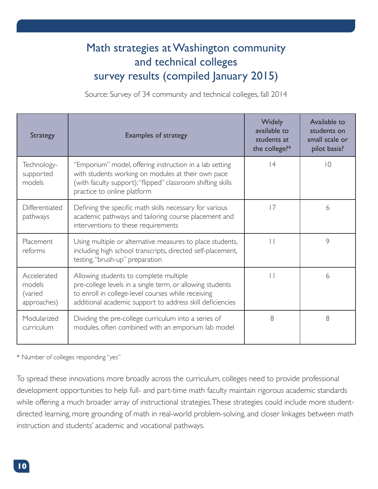## Math strategies at Washington community and technical colleges survey results (compiled January 2015)

Source: Survey of 34 community and technical colleges, fall 2014

| <b>Strategy</b>                                 | <b>Examples of strategy</b>                                                                                                                                                                                            | Widely<br>available to<br>students at<br>the college?* | Available to<br>students on<br>small scale or<br>pilot basis? |
|-------------------------------------------------|------------------------------------------------------------------------------------------------------------------------------------------------------------------------------------------------------------------------|--------------------------------------------------------|---------------------------------------------------------------|
| Technology-<br>supported<br>models              | "Emporium" model, offering instruction in a lab setting<br>with students working on modules at their own pace<br>(with faculty support); "flipped" classroom shifting skills<br>practice to online platform            | 4                                                      | $ 0\rangle$                                                   |
| Differentiated<br>pathways                      | Defining the specific math skills necessary for various<br>academic pathways and tailoring course placement and<br>interventions to these requirements                                                                 | 17                                                     | 6                                                             |
| Placement<br>reforms                            | Using multiple or alternative measures to place students,<br>including high school transcripts, directed self-placement,<br>testing, "brush-up" preparation                                                            | $\vert \ \vert$                                        | 9                                                             |
| Accelerated<br>models<br>(varied<br>approaches) | Allowing students to complete multiple<br>pre-college levels in a single term, or allowing students<br>to enroll in college-level courses while receiving<br>additional academic support to address skill deficiencies | $\Box$                                                 | 6                                                             |
| Modularized<br>curriculum                       | Dividing the pre-college curriculum into a series of<br>modules, often combined with an emporium lab model                                                                                                             | 8                                                      | 8                                                             |

\* Number of colleges responding "yes"

To spread these innovations more broadly across the curriculum, colleges need to provide professional development opportunities to help full- and part-time math faculty maintain rigorous academic standards while offering a much broader array of instructional strategies. These strategies could include more studentdirected learning, more grounding of math in real-world problem-solving, and closer linkages between math instruction and students' academic and vocational pathways.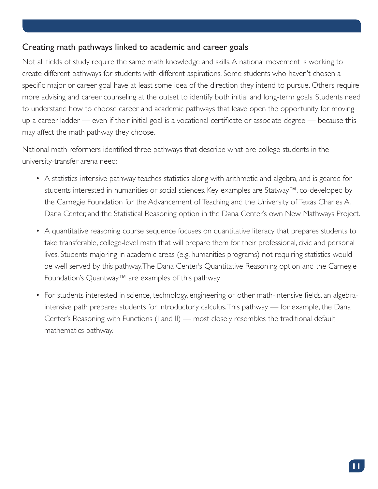#### Creating math pathways linked to academic and career goals

Not all fields of study require the same math knowledge and skills. A national movement is working to create different pathways for students with different aspirations. Some students who haven't chosen a specific major or career goal have at least some idea of the direction they intend to pursue. Others require more advising and career counseling at the outset to identify both initial and long-term goals. Students need to understand how to choose career and academic pathways that leave open the opportunity for moving up a career ladder — even if their initial goal is a vocational certificate or associate degree — because this may affect the math pathway they choose.

National math reformers identified three pathways that describe what pre-college students in the university-transfer arena need:

- A statistics-intensive pathway teaches statistics along with arithmetic and algebra, and is geared for students interested in humanities or social sciences. Key examples are Statway™, co-developed by the Carnegie Foundation for the Advancement of Teaching and the University of Texas Charles A. Dana Center, and the Statistical Reasoning option in the Dana Center's own New Mathways Project.
- A quantitative reasoning course sequence focuses on quantitative literacy that prepares students to take transferable, college-level math that will prepare them for their professional, civic and personal lives. Students majoring in academic areas (e.g. humanities programs) not requiring statistics would be well served by this pathway. The Dana Center's Quantitative Reasoning option and the Carnegie Foundation's Quantway™ are examples of this pathway.
- For students interested in science, technology, engineering or other math-intensive fields, an algebraintensive path prepares students for introductory calculus. This pathway — for example, the Dana Center's Reasoning with Functions (I and II) — most closely resembles the traditional default mathematics pathway.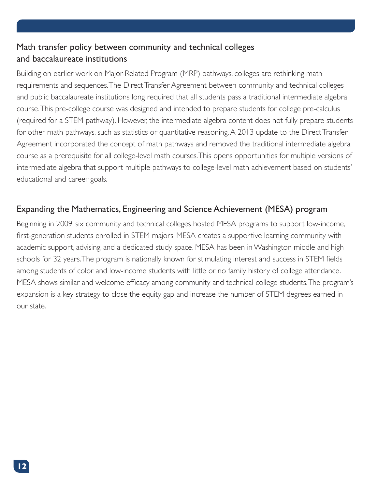#### Math transfer policy between community and technical colleges and baccalaureate institutions

Building on earlier work on Major-Related Program (MRP) pathways, colleges are rethinking math requirements and sequences. The Direct Transfer Agreement between community and technical colleges and public baccalaureate institutions long required that all students pass a traditional intermediate algebra course. This pre-college course was designed and intended to prepare students for college pre-calculus (required for a STEM pathway). However, the intermediate algebra content does not fully prepare students for other math pathways, such as statistics or quantitative reasoning. A 2013 update to the Direct Transfer Agreement incorporated the concept of math pathways and removed the traditional intermediate algebra course as a prerequisite for all college-level math courses. This opens opportunities for multiple versions of intermediate algebra that support multiple pathways to college-level math achievement based on students' educational and career goals.

#### Expanding the Mathematics, Engineering and Science Achievement (MESA) program

Beginning in 2009, six community and technical colleges hosted MESA programs to support low-income, first-generation students enrolled in STEM majors. MESA creates a supportive learning community with academic support, advising, and a dedicated study space. MESA has been in Washington middle and high schools for 32 years. The program is nationally known for stimulating interest and success in STEM fields among students of color and low-income students with little or no family history of college attendance. MESA shows similar and welcome efficacy among community and technical college students. The program's expansion is a key strategy to close the equity gap and increase the number of STEM degrees earned in our state.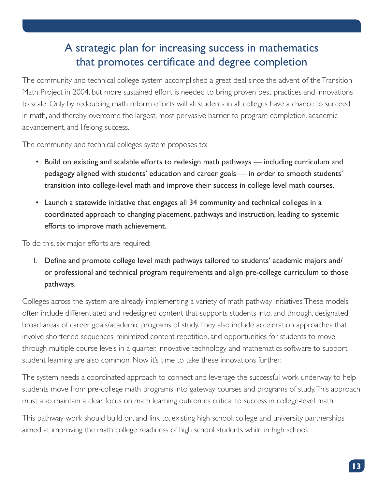## A strategic plan for increasing success in mathematics that promotes certificate and degree completion

The community and technical college system accomplished a great deal since the advent of the Transition Math Project in 2004, but more sustained effort is needed to bring proven best practices and innovations to scale. Only by redoubling math reform efforts will all students in all colleges have a chance to succeed in math, and thereby overcome the largest, most pervasive barrier to program completion, academic advancement, and lifelong success.

The community and technical colleges system proposes to:

- Build on existing and scalable efforts to redesign math pathways including curriculum and pedagogy aligned with students' education and career goals — in order to smooth students' transition into college-level math and improve their success in college level math courses.
- Launch a statewide initiative that engages all 34 community and technical colleges in a coordinated approach to changing placement, pathways and instruction, leading to systemic efforts to improve math achievement.

To do this, six major efforts are required:

I. Define and promote college level math pathways tailored to students' academic majors and/ or professional and technical program requirements and align pre-college curriculum to those pathways.

Colleges across the system are already implementing a variety of math pathway initiatives. These models often include differentiated and redesigned content that supports students into, and through, designated broad areas of career goals/academic programs of study. They also include acceleration approaches that involve shortened sequences, minimized content repetition, and opportunities for students to move through multiple course levels in a quarter. Innovative technology and mathematics software to support student learning are also common. Now it's time to take these innovations further.

The system needs a coordinated approach to connect and leverage the successful work underway to help students move from pre-college math programs into gateway courses and programs of study. This approach must also maintain a clear focus on math learning outcomes critical to success in college-level math.

This pathway work should build on, and link to, existing high school, college and university partnerships aimed at improving the math college readiness of high school students while in high school.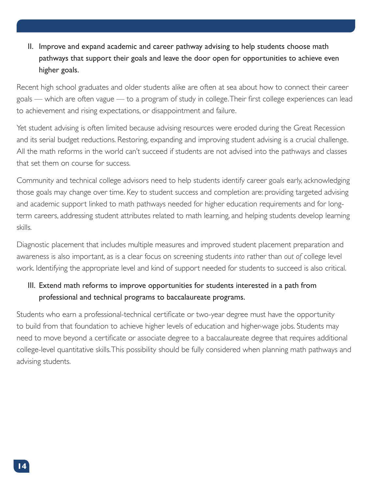II. Improve and expand academic and career pathway advising to help students choose math pathways that support their goals and leave the door open for opportunities to achieve even higher goals.

Recent high school graduates and older students alike are often at sea about how to connect their career goals — which are often vague — to a program of study in college. Their first college experiences can lead to achievement and rising expectations, or disappointment and failure.

Yet student advising is often limited because advising resources were eroded during the Great Recession and its serial budget reductions. Restoring, expanding and improving student advising is a crucial challenge. All the math reforms in the world can't succeed if students are not advised into the pathways and classes that set them on course for success.

Community and technical college advisors need to help students identify career goals early, acknowledging those goals may change over time. Key to student success and completion are: providing targeted advising and academic support linked to math pathways needed for higher education requirements and for longterm careers, addressing student attributes related to math learning, and helping students develop learning skills.

Diagnostic placement that includes multiple measures and improved student placement preparation and awareness is also important, as is a clear focus on screening students *into* rather than *out of* college level work. Identifying the appropriate level and kind of support needed for students to succeed is also critical.

#### III. Extend math reforms to improve opportunities for students interested in a path from professional and technical programs to baccalaureate programs.

Students who earn a professional-technical certificate or two-year degree must have the opportunity to build from that foundation to achieve higher levels of education and higher-wage jobs. Students may need to move beyond a certificate or associate degree to a baccalaureate degree that requires additional college-level quantitative skills. This possibility should be fully considered when planning math pathways and advising students.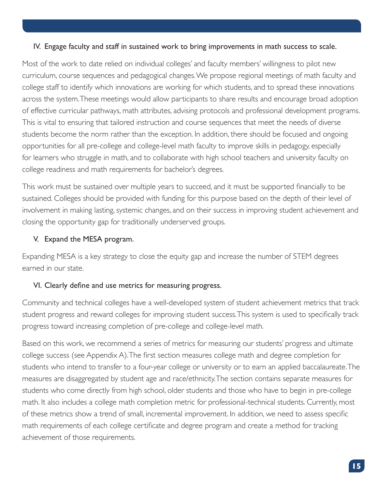#### IV. Engage faculty and staff in sustained work to bring improvements in math success to scale.

Most of the work to date relied on individual colleges' and faculty members' willingness to pilot new curriculum, course sequences and pedagogical changes. We propose regional meetings of math faculty and college staff to identify which innovations are working for which students, and to spread these innovations across the system. These meetings would allow participants to share results and encourage broad adoption of effective curricular pathways, math attributes, advising protocols and professional development programs. This is vital to ensuring that tailored instruction and course sequences that meet the needs of diverse students become the norm rather than the exception. In addition, there should be focused and ongoing opportunities for all pre-college and college-level math faculty to improve skills in pedagogy, especially for learners who struggle in math, and to collaborate with high school teachers and university faculty on college readiness and math requirements for bachelor's degrees.

This work must be sustained over multiple years to succeed, and it must be supported financially to be sustained. Colleges should be provided with funding for this purpose based on the depth of their level of involvement in making lasting, systemic changes, and on their success in improving student achievement and closing the opportunity gap for traditionally underserved groups.

#### V. Expand the MESA program.

Expanding MESA is a key strategy to close the equity gap and increase the number of STEM degrees earned in our state.

#### VI. Clearly define and use metrics for measuring progress.

Community and technical colleges have a well-developed system of student achievement metrics that track student progress and reward colleges for improving student success. This system is used to specifically track progress toward increasing completion of pre-college and college-level math.

Based on this work, we recommend a series of metrics for measuring our students' progress and ultimate college success (see Appendix A). The first section measures college math and degree completion for students who intend to transfer to a four-year college or university or to earn an applied baccalaureate. The measures are disaggregated by student age and race/ethnicity. The section contains separate measures for students who come directly from high school, older students and those who have to begin in pre-college math. It also includes a college math completion metric for professional-technical students. Currently, most of these metrics show a trend of small, incremental improvement. In addition, we need to assess specific math requirements of each college certificate and degree program and create a method for tracking achievement of those requirements.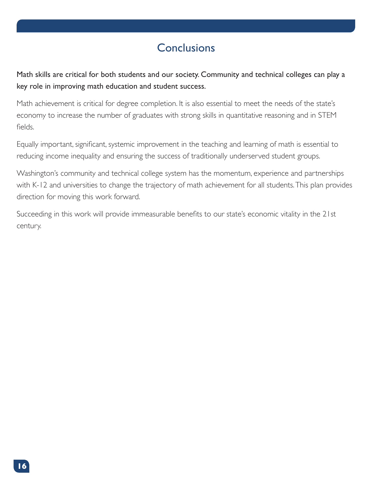## **Conclusions**

Math skills are critical for both students and our society. Community and technical colleges can play a key role in improving math education and student success.

Math achievement is critical for degree completion. It is also essential to meet the needs of the state's economy to increase the number of graduates with strong skills in quantitative reasoning and in STEM fields.

Equally important, significant, systemic improvement in the teaching and learning of math is essential to reducing income inequality and ensuring the success of traditionally underserved student groups.

Washington's community and technical college system has the momentum, experience and partnerships with K-12 and universities to change the trajectory of math achievement for all students. This plan provides direction for moving this work forward.

Succeeding in this work will provide immeasurable benefits to our state's economic vitality in the 21st century.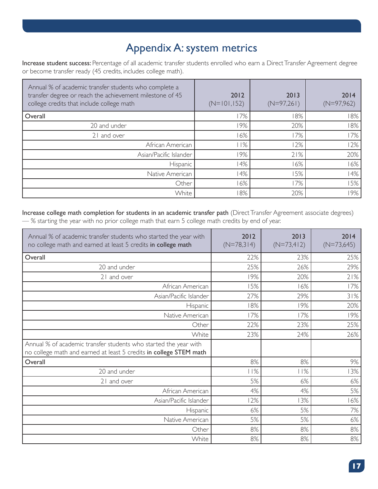## Appendix A: system metrics

Increase student success: Percentage of all academic transfer students enrolled who earn a Direct Transfer Agreement degree or become transfer ready (45 credits, includes college math).

| Annual % of academic transfer students who complete a<br>transfer degree or reach the achievement milestone of 45<br>college credits that include college math | 2012<br>$(N=101,152)$ | 2013<br>$(N=97,261)$ | 2014<br>$(N=97,962)$ |
|----------------------------------------------------------------------------------------------------------------------------------------------------------------|-----------------------|----------------------|----------------------|
| Overall                                                                                                                                                        | 7%                    | 8%                   | 18%                  |
| 20 and under                                                                                                                                                   | 9%                    | 20%                  | 18%                  |
| 21 and over                                                                                                                                                    | 6%                    | 17%                  | 17%                  |
| African American                                                                                                                                               | 1%                    | 12%                  | 12%                  |
| Asian/Pacific Islander                                                                                                                                         | 9%                    | 21%                  | 20%                  |
| Hispanic                                                                                                                                                       | 14%                   | 6%                   | 16%                  |
| Native American                                                                                                                                                | 4%                    | 15%                  | 14%                  |
| Other                                                                                                                                                          | 6%                    | 17%                  | 15%                  |
| White                                                                                                                                                          | 8%                    | 20%                  | 19%                  |

Increase college math completion for students in an academic transfer path (Direct Transfer Agreement associate degrees) — % starting the year with no prior college math that earn 5 college math credits by end of year.

| Annual % of academic transfer students who started the year with<br>no college math and earned at least 5 credits in college math      | 2012<br>$(N=78,314)$ | 2013<br>$(N=73,412)$ | 2014<br>$(N=73,645)$ |
|----------------------------------------------------------------------------------------------------------------------------------------|----------------------|----------------------|----------------------|
| Overall                                                                                                                                | 22%                  | 23%                  | 25%                  |
| 20 and under                                                                                                                           | 25%                  | 26%                  | 29%                  |
| 21 and over                                                                                                                            | 19%                  | 20%                  | 21%                  |
| African American                                                                                                                       | 15%                  | 16%                  | 17%                  |
| Asian/Pacific Islander                                                                                                                 | 27%                  | 29%                  | 31%                  |
| Hispanic                                                                                                                               | 18%                  | 19%                  | 20%                  |
| Native American                                                                                                                        | 17%                  | 17%                  | 19%                  |
| Other                                                                                                                                  | 22%                  | 23%                  | 25%                  |
| White                                                                                                                                  | 23%                  | 24%                  | 26%                  |
| Annual % of academic transfer students who started the year with<br>no college math and earned at least 5 credits in college STEM math |                      |                      |                      |
| Overall                                                                                                                                | 8%                   | 8%                   | 9%                   |
| 20 and under                                                                                                                           | 11%                  | 11%                  | 13%                  |
| 21 and over                                                                                                                            | 5%                   | 6%                   | 6%                   |
| African American                                                                                                                       | 4%                   | 4%                   | 5%                   |
| Asian/Pacific Islander                                                                                                                 | 12%                  | 13%                  | 16%                  |
| Hispanic                                                                                                                               | 6%                   | 5%                   | 7%                   |
| Native American                                                                                                                        | 5%                   | 5%                   | 6%                   |
| Other                                                                                                                                  | 8%                   | 8%                   | 8%                   |
| White                                                                                                                                  | 8%                   | 8%                   | 8%                   |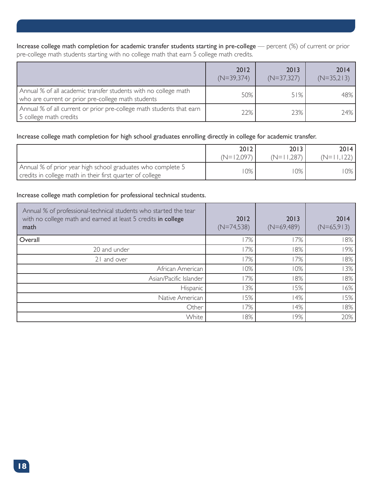Increase college math completion for academic transfer students starting in pre-college — percent (%) of current or prior pre-college math students starting with no college math that earn 5 college math credits.

|                                                                                                                       | 2012<br>$(N=39,374)$ | 2013<br>$(N=37,327)$ | 2014<br>$(N=35,213)$ |
|-----------------------------------------------------------------------------------------------------------------------|----------------------|----------------------|----------------------|
| Annual % of all academic transfer students with no college math<br>who are current or prior pre-college math students | 50%                  | 51%                  | 48%                  |
| Annual % of all current or prior pre-college math students that earn<br>5 college math credits                        | 22%                  | 23%                  | 24%                  |

#### Increase college math completion for high school graduates enrolling directly in college for academic transfer.

|                                                                                                                          | 2012         | 2013         | 2014 l       |
|--------------------------------------------------------------------------------------------------------------------------|--------------|--------------|--------------|
|                                                                                                                          | $(N=12,097)$ | $(N=11,287)$ | $(N=11,122)$ |
| Annual % of prior year high school graduates who complete 5<br>credits in college math in their first quarter of college | $10\%$       | $10\%$       | 10%          |

#### Increase college math completion for professional technical students.

| Annual % of professional-technical students who started the tear<br>with no college math and earned at least 5 credits in college<br>math | 2012<br>$(N=74,538)$ | 2013<br>$(N=69,489)$ | 2014<br>$(N=65,913)$ |
|-------------------------------------------------------------------------------------------------------------------------------------------|----------------------|----------------------|----------------------|
| Overall                                                                                                                                   | 17%                  | 17%                  | 18%                  |
| 20 and under                                                                                                                              | 17%                  | 8%                   | 19%                  |
| 21 and over                                                                                                                               | 17%                  | 17%                  | 18%                  |
| African American                                                                                                                          | 10%                  | 10%                  | 3%                   |
| Asian/Pacific Islander                                                                                                                    | 17%                  | 8%                   | 18%                  |
| Hispanic                                                                                                                                  | 3%                   | 5%                   | 16%                  |
| Native American                                                                                                                           | 15%                  | 14%                  | 5%                   |
| Other                                                                                                                                     | 17%                  | 14%                  | 18%                  |
| White                                                                                                                                     | 18%                  | 9%                   | 20%                  |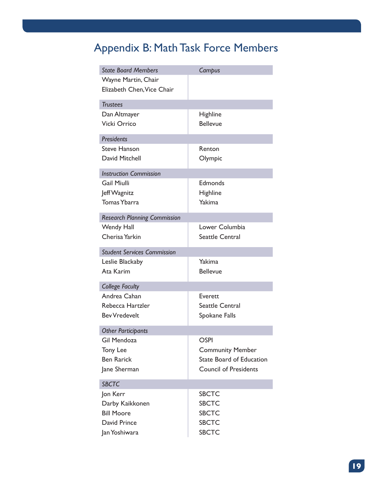## Appendix B: Math Task Force Members

| <b>State Board Members</b>          | Campus                          |  |
|-------------------------------------|---------------------------------|--|
| Wayne Martin, Chair                 |                                 |  |
| Elizabeth Chen, Vice Chair          |                                 |  |
| <b>Trustees</b>                     |                                 |  |
| Dan Altmayer                        | <b>Highline</b>                 |  |
| <b>Vicki Orrico</b>                 | <b>Bellevue</b>                 |  |
|                                     |                                 |  |
| <b>Presidents</b>                   |                                 |  |
| <b>Steve Hanson</b>                 | Renton                          |  |
| David Mitchell                      | Olympic                         |  |
| <b>Instruction Commission</b>       |                                 |  |
| <b>Gail Miulli</b>                  | Edmonds                         |  |
| Jeff Wagnitz                        | Highline                        |  |
| <b>Tomas Ybarra</b>                 | Yakima                          |  |
| <b>Research Planning Commission</b> |                                 |  |
| <b>Wendy Hall</b>                   | Lower Columbia                  |  |
| Cherisa Yarkin                      | <b>Seattle Central</b>          |  |
| <b>Student Services Commission</b>  |                                 |  |
| Leslie Blackaby                     | Yakima                          |  |
| Ata Karim                           | <b>Bellevue</b>                 |  |
|                                     |                                 |  |
| <b>College Faculty</b>              |                                 |  |
| Andrea Cahan                        | Everett                         |  |
| Rebecca Hartzler                    | <b>Seattle Central</b>          |  |
| <b>Bev Vredevelt</b>                | Spokane Falls                   |  |
| <b>Other Participants</b>           |                                 |  |
| <b>Gil Mendoza</b>                  | OSPI                            |  |
| Tony Lee                            | <b>Community Member</b>         |  |
| <b>Ben Rarick</b>                   | <b>State Board of Education</b> |  |
| Jane Sherman                        | <b>Council of Presidents</b>    |  |
| <b>SBCTC</b>                        |                                 |  |
| Jon Kerr                            | <b>SBCTC</b>                    |  |
| Darby Kaikkonen                     | <b>SBCTC</b>                    |  |
| <b>Bill Moore</b>                   | <b>SBCTC</b>                    |  |
| David Prince                        | <b>SBCTC</b>                    |  |
|                                     |                                 |  |
| Jan Yoshiwara                       | <b>SBCTC</b>                    |  |